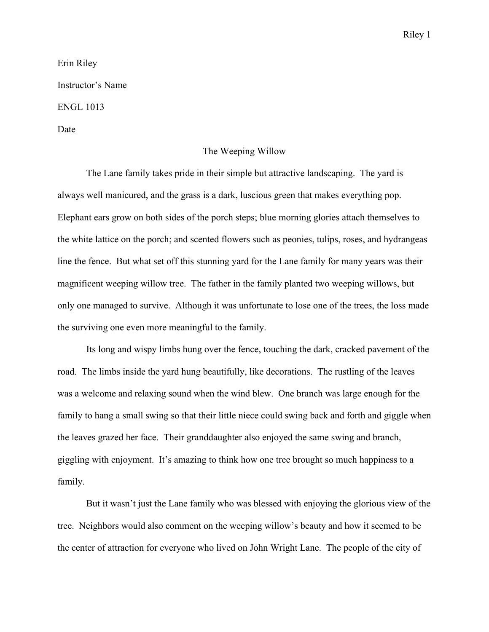Erin Riley Instructor's Name ENGL 1013

Date

## The Weeping Willow

The Lane family takes pride in their simple but attractive landscaping. The yard is always well manicured, and the grass is a dark, luscious green that makes everything pop. Elephant ears grow on both sides of the porch steps; blue morning glories attach themselves to the white lattice on the porch; and scented flowers such as peonies, tulips, roses, and hydrangeas line the fence. But what set off this stunning yard for the Lane family for many years was their magnificent weeping willow tree. The father in the family planted two weeping willows, but only one managed to survive. Although it was unfortunate to lose one of the trees, the loss made the surviving one even more meaningful to the family.

Its long and wispy limbs hung over the fence, touching the dark, cracked pavement of the road. The limbs inside the yard hung beautifully, like decorations. The rustling of the leaves was a welcome and relaxing sound when the wind blew. One branch was large enough for the family to hang a small swing so that their little niece could swing back and forth and giggle when the leaves grazed her face. Their granddaughter also enjoyed the same swing and branch, giggling with enjoyment. It's amazing to think how one tree brought so much happiness to a family.

But it wasn't just the Lane family who was blessed with enjoying the glorious view of the tree. Neighbors would also comment on the weeping willow's beauty and how it seemed to be the center of attraction for everyone who lived on John Wright Lane. The people of the city of